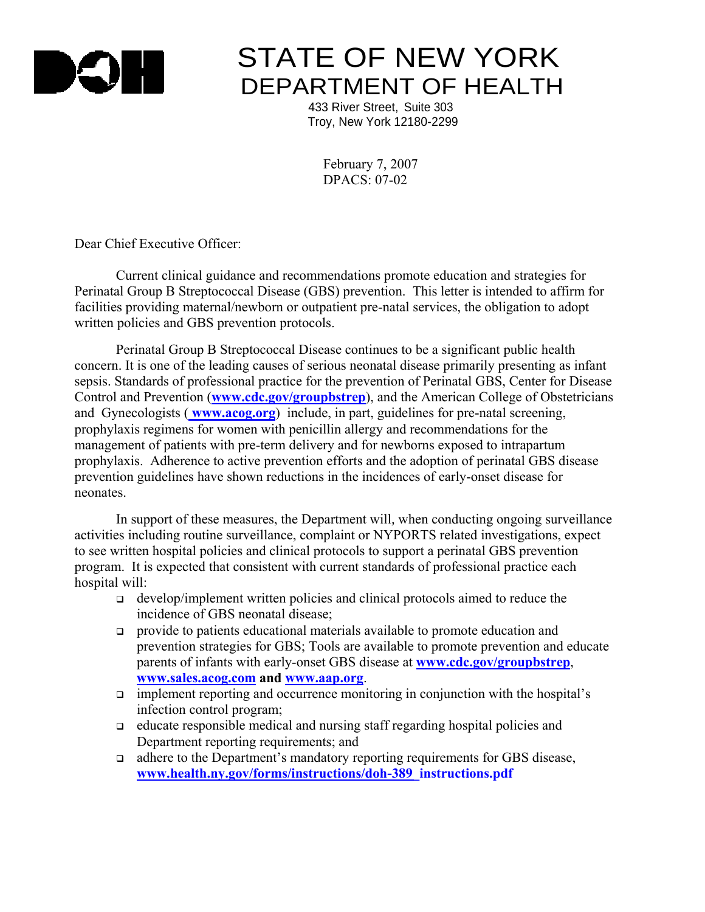

## **STATE OF NEW YORK** DEPARTMENT OF HEALTH

 433 River Street, Suite 303 Troy, New York 12180-2299

> February 7, 2007  $DPACS: 07-02$

Dear Chief Executive Officer:

 Current clinical guidance and recommendations promote education and strategies for Perinatal Group B Streptococcal Disease (GBS) prevention. This letter is intended to affirm for facilities providing maternal/newborn or outpatient pre-natal services, the obligation to adopt written policies and GBS prevention protocols.

 Perinatal Group B Streptococcal Disease continues to be a significant public health concern. It is one of the leading causes of serious neonatal disease primarily presenting as infant sepsis. Standards of professional practice for the prevention of Perinatal GBS, Center for Disease Control and Prevention (**www.cdc.gov/groupbstrep**), and the American College of Obstetricians and Gynecologists ( **www.acog.org**) include, in part, guidelines for pre-natal screening, prophylaxis regimens for women with penicillin allergy and recommendations for the management of patients with pre-term delivery and for newborns exposed to intrapartum prophylaxis. Adherence to active prevention efforts and the adoption of perinatal GBS disease prevention guidelines have shown reductions in the incidences of early-onset disease for neonates.

 In support of these measures, the Department will*,* when conducting ongoing surveillance activities including routine surveillance, complaint or NYPORTS related investigations, expect to see written hospital policies and clinical protocols to support a perinatal GBS prevention program. It is expected that consistent with current standards of professional practice each hospital will:

- develop/implement written policies and clinical protocols aimed to reduce the incidence of GBS neonatal disease;
- provide to patients educational materials available to promote education and prevention strategies for GBS; Tools are available to promote prevention and educate parents of infants with early-onset GBS disease at **www.cdc.gov/groupbstrep**, **www.sales.acog.com and www.aap.org**.
- $\Box$  implement reporting and occurrence monitoring in conjunction with the hospital's infection control program;
- educate responsible medical and nursing staff regarding hospital policies and Department reporting requirements; and
- adhere to the Department's mandatory reporting requirements for GBS disease, **[www.health.ny.gov/forms/instructions/doh-389\\_instructions.pdf](www.health.ny.gov/forms/instructions/doh-389_instructions.pdf)**